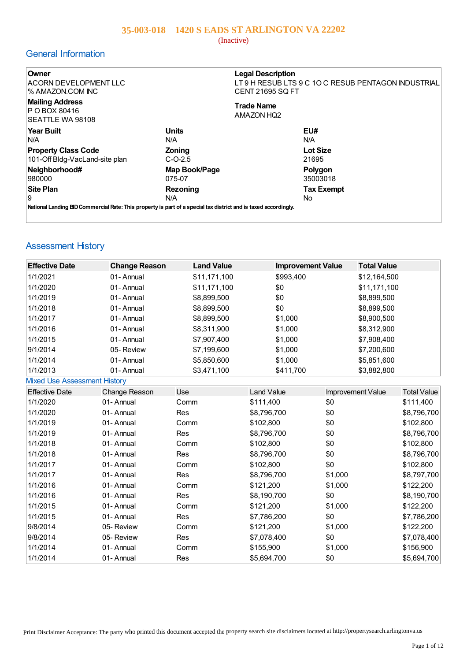(Inactive)

## General Information

| Owner<br>ACORN DEVELOPMENT LLC<br>% AMAZON.COM INC                                                              |               | <b>Legal Description</b><br>LT 9 H RESUB LTS 9 C 1O C RESUB PENTAGON INDUSTRIAL<br><b>CENT 21695 SQ FT</b> |
|-----------------------------------------------------------------------------------------------------------------|---------------|------------------------------------------------------------------------------------------------------------|
| <b>Mailing Address</b><br><b>P O BOX 80416</b><br>SEATTLE WA 98108                                              |               | <b>Trade Name</b><br><b>AMAZON HQ2</b>                                                                     |
| Year Built                                                                                                      | <b>Units</b>  | EU#                                                                                                        |
| IN/A                                                                                                            | N/A           | N/A                                                                                                        |
| <b>Property Class Code</b>                                                                                      | Zoning        | <b>Lot Size</b>                                                                                            |
| 101-Off Bldg-VacLand-site plan                                                                                  | $C-O-2.5$     | 21695                                                                                                      |
| Neighborhood#                                                                                                   | Map Book/Page | Polygon                                                                                                    |
| 980000                                                                                                          | 075-07        | 35003018                                                                                                   |
| ∣Site Plan                                                                                                      | Rezoning      | <b>Tax Exempt</b>                                                                                          |
| 9                                                                                                               | N/A           | No.                                                                                                        |
| National Landing BID Commercial Rate: This property is part of a special tax district and is taxed accordingly. |               |                                                                                                            |
|                                                                                                                 |               |                                                                                                            |

# Assessment History

| <b>Effective Date</b>               | <b>Change Reason</b> | <b>Land Value</b> | <b>Improvement Value</b> | <b>Total Value</b> |                    |
|-------------------------------------|----------------------|-------------------|--------------------------|--------------------|--------------------|
| 1/1/2021                            | 01-Annual            | \$11,171,100      | \$993,400                | \$12,164,500       |                    |
| 1/1/2020                            | 01-Annual            | \$11,171,100      | \$0                      | \$11,171,100       |                    |
| 1/1/2019                            | 01-Annual            | \$8,899,500       | \$0                      | \$8,899,500        |                    |
| 1/1/2018                            | 01-Annual            | \$8,899,500       | \$0                      | \$8,899,500        |                    |
| 1/1/2017                            | 01-Annual            | \$8,899,500       | \$1,000                  | \$8,900,500        |                    |
| 1/1/2016                            | 01-Annual            | \$8,311,900       | \$1,000                  | \$8,312,900        |                    |
| 1/1/2015                            | 01-Annual            | \$7,907,400       | \$1,000                  | \$7,908,400        |                    |
| 9/1/2014                            | 05-Review            | \$7,199,600       | \$1,000                  | \$7,200,600        |                    |
| 1/1/2014                            | 01-Annual            | \$5,850,600       | \$1,000                  | \$5,851,600        |                    |
| 1/1/2013                            | 01-Annual            | \$3,471,100       | \$411,700                | \$3,882,800        |                    |
| <b>Mixed Use Assessment History</b> |                      |                   |                          |                    |                    |
| <b>Effective Date</b>               | Change Reason        | Use               | <b>Land Value</b>        | Improvement Value  | <b>Total Value</b> |
| 1/1/2020                            | 01-Annual            | Comm              | \$111,400                | \$0                | \$111,400          |
| 1/1/2020                            | 01-Annual            | Res               | \$8,796,700              | \$0                | \$8,796,700        |
| 1/1/2019                            | 01-Annual            | Comm              | \$102,800                | \$0                | \$102,800          |
| 1/1/2019                            | 01-Annual            | Res               | \$8,796,700              | \$0                | \$8,796,700        |
| 1/1/2018                            | 01-Annual            | Comm              | \$102,800                | \$0                | \$102,800          |
| 1/1/2018                            | 01-Annual            | Res               | \$8,796,700              | \$0                | \$8,796,700        |
| 1/1/2017                            | 01-Annual            | Comm              | \$102,800                | \$0                | \$102,800          |
| 1/1/2017                            | 01-Annual            | Res               | \$8,796,700              | \$1,000            | \$8,797,700        |
| 1/1/2016                            | 01-Annual            | Comm              | \$121,200                | \$1,000            | \$122,200          |
| 1/1/2016                            | 01-Annual            | Res               | \$8,190,700              | \$0                | \$8,190,700        |
| 1/1/2015                            | 01-Annual            | Comm              | \$121,200                | \$1,000            | \$122,200          |
| 1/1/2015                            | 01-Annual            | Res               | \$7,786,200              | \$0                | \$7,786,200        |
| 9/8/2014                            | 05-Review            | Comm              | \$121,200                | \$1,000            | \$122,200          |
| 9/8/2014                            | 05-Review            | Res               | \$7,078,400              | \$0                | \$7,078,400        |
| 1/1/2014                            | 01-Annual            | Comm              | \$155,900                | \$1,000            | \$156,900          |
| 1/1/2014                            | 01-Annual            | Res               | \$5,694,700              | \$0                | \$5,694,700        |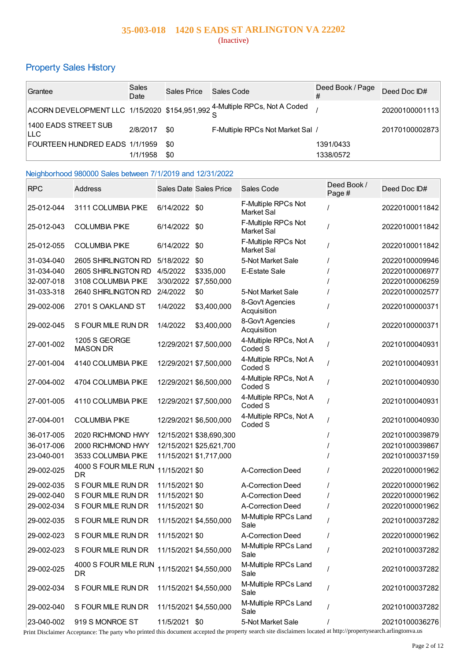## **35-003-018 1420 S EADS ST ARLINGTON VA 22202** (Inactive)

# Property Sales History

| Grantee                        | Sales<br>Date | Sales Price | Sales Code                                                                 | Deed Book / Page<br># | Deed Doc ID#   |
|--------------------------------|---------------|-------------|----------------------------------------------------------------------------|-----------------------|----------------|
|                                |               |             | ACORN DEVELOPMENT LLC 1/15/2020 \$154,951,992 4-Multiple RPCs, Not A Coded |                       | 20200100001113 |
| 1400 EADS STREET SUB<br>ILLC.  | 2/8/2017      | \$0         | F-Multiple RPCs Not Market Sal /                                           |                       | 20170100002873 |
| FOURTEEN HUNDRED EADS 1/1/1959 |               | -\$0        |                                                                            | 1391/0433             |                |
|                                | 1/1/1958      | \$0         |                                                                            | 1338/0572             |                |

### Neighborhood 980000 Sales between 7/1/2019 and 12/31/2022

| <b>RPC</b> | <b>Address</b>                    |                | <b>Sales Date Sales Price</b> | Sales Code                        | Deed Book /<br>Page# | Deed Doc ID#   |
|------------|-----------------------------------|----------------|-------------------------------|-----------------------------------|----------------------|----------------|
| 25-012-044 | 3111 COLUMBIA PIKE                | 6/14/2022      | \$0                           | F-Multiple RPCs Not<br>Market Sal |                      | 20220100011842 |
| 25-012-043 | <b>COLUMBIA PIKE</b>              | 6/14/2022 \$0  |                               | F-Multiple RPCs Not<br>Market Sal | $\prime$             | 20220100011842 |
| 25-012-055 | <b>COLUMBIA PIKE</b>              | 6/14/2022 \$0  |                               | F-Multiple RPCs Not<br>Market Sal |                      | 20220100011842 |
| 31-034-040 | 2605 SHIRLINGTON RD               | 5/18/2022      | \$0                           | 5-Not Market Sale                 |                      | 20220100009946 |
| 31-034-040 | 2605 SHIRLINGTON RD               | 4/5/2022       | \$335,000                     | E-Estate Sale                     |                      | 20220100006977 |
| 32-007-018 | 3108 COLUMBIA PIKE                | 3/30/2022      | \$7,550,000                   |                                   |                      | 20220100006259 |
| 31-033-318 | 2640 SHIRLINGTON RD               | 2/4/2022       | \$0                           | 5-Not Market Sale                 |                      | 20220100002577 |
| 29-002-006 | 2701 S OAKLAND ST                 | 1/4/2022       | \$3,400,000                   | 8-Gov't Agencies<br>Acquisition   |                      | 20220100000371 |
| 29-002-045 | S FOUR MILE RUN DR                | 1/4/2022       | \$3,400,000                   | 8-Gov't Agencies<br>Acquisition   |                      | 20220100000371 |
| 27-001-002 | 1205 S GEORGE<br><b>MASON DR</b>  |                | 12/29/2021 \$7,500,000        | 4-Multiple RPCs, Not A<br>Coded S |                      | 20210100040931 |
| 27-001-004 | 4140 COLUMBIA PIKE                |                | 12/29/2021 \$7,500,000        | 4-Multiple RPCs, Not A<br>Coded S | $\prime$             | 20210100040931 |
| 27-004-002 | 4704 COLUMBIA PIKE                |                | 12/29/2021 \$6,500,000        | 4-Multiple RPCs, Not A<br>Coded S | $\prime$             | 20210100040930 |
| 27-001-005 | 4110 COLUMBIA PIKE                |                | 12/29/2021 \$7,500,000        | 4-Multiple RPCs, Not A<br>Coded S | $\prime$             | 20210100040931 |
| 27-004-001 | <b>COLUMBIA PIKE</b>              |                | 12/29/2021 \$6,500,000        | 4-Multiple RPCs, Not A<br>Coded S |                      | 20210100040930 |
| 36-017-005 | 2020 RICHMOND HWY                 |                | 12/15/2021 \$38,690,300       |                                   |                      | 20210100039879 |
| 36-017-006 | 2000 RICHMOND HWY                 |                | 12/15/2021 \$25,621,700       |                                   |                      | 20210100039867 |
| 23-040-001 | 3533 COLUMBIA PIKE                |                | 11/15/2021 \$1,717,000        |                                   |                      | 20210100037159 |
| 29-002-025 | 4000 S FOUR MILE RUN<br><b>DR</b> | 11/15/2021 \$0 |                               | A-Correction Deed                 |                      | 20220100001962 |
| 29-002-035 | S FOUR MILE RUN DR                | 11/15/2021 \$0 |                               | A-Correction Deed                 |                      | 20220100001962 |
| 29-002-040 | S FOUR MILE RUN DR                | 11/15/2021 \$0 |                               | A-Correction Deed                 |                      | 20220100001962 |
| 29-002-034 | S FOUR MILE RUN DR                | 11/15/2021 \$0 |                               | A-Correction Deed                 |                      | 20220100001962 |
| 29-002-035 | S FOUR MILE RUN DR                |                | 11/15/2021 \$4,550,000        | M-Multiple RPCs Land<br>Sale      |                      | 20210100037282 |
| 29-002-023 | S FOUR MILE RUN DR                | 11/15/2021 \$0 |                               | A-Correction Deed                 |                      | 20220100001962 |
| 29-002-023 | S FOUR MILE RUN DR                |                | 11/15/2021 \$4,550,000        | M-Multiple RPCs Land<br>Sale      |                      | 20210100037282 |
| 29-002-025 | 4000 S FOUR MILE RUN<br>DR        |                | 11/15/2021 \$4,550,000        | M-Multiple RPCs Land<br>Sale      |                      | 20210100037282 |
| 29-002-034 | S FOUR MILE RUN DR                |                | 11/15/2021 \$4,550,000        | M-Multiple RPCs Land<br>Sale      |                      | 20210100037282 |
| 29-002-040 | S FOUR MILE RUN DR                |                | 11/15/2021 \$4,550,000        | M-Multiple RPCs Land<br>Sale      |                      | 20210100037282 |
| 23-040-002 | 919 S MONROE ST                   | 11/5/2021 \$0  |                               | 5-Not Market Sale                 | $\theta$             | 20210100036276 |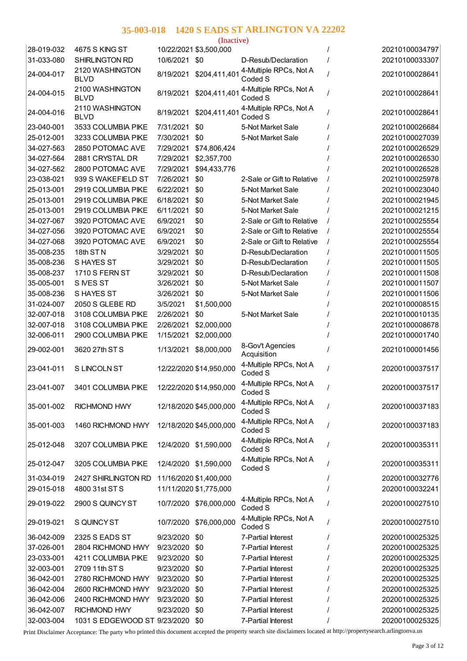|            |                                |           | (Inactive)              |                                   |                |
|------------|--------------------------------|-----------|-------------------------|-----------------------------------|----------------|
| 28-019-032 | 4675 S KING ST                 |           | 10/22/2021 \$3,500,000  |                                   | 20210100034797 |
| 31-033-080 | <b>SHIRLINGTON RD</b>          | 10/6/2021 | \$0                     | D-Resub/Declaration               | 20210100033307 |
| 24-004-017 | 2120 WASHINGTON<br><b>BLVD</b> | 8/19/2021 | \$204,411,401           | 4-Multiple RPCs, Not A<br>Coded S | 20210100028641 |
| 24-004-015 | 2100 WASHINGTON<br><b>BLVD</b> | 8/19/2021 | \$204,411,401           | 4-Multiple RPCs, Not A<br>Coded S | 20210100028641 |
| 24-004-016 | 2110 WASHINGTON<br><b>BLVD</b> | 8/19/2021 | \$204,411,40            | 4-Multiple RPCs, Not A<br>Coded S | 20210100028641 |
| 23-040-001 | 3533 COLUMBIA PIKE             | 7/31/2021 | \$0                     | 5-Not Market Sale                 | 20210100026684 |
| 25-012-001 | 3233 COLUMBIA PIKE             | 7/30/2021 | \$0                     | 5-Not Market Sale                 | 20210100027039 |
| 34-027-563 | 2850 POTOMAC AVE               | 7/29/2021 | \$74,806,424            |                                   | 20210100026529 |
| 34-027-564 | 2881 CRYSTAL DR                | 7/29/2021 | \$2,357,700             |                                   | 20210100026530 |
| 34-027-562 | 2800 POTOMAC AVE               | 7/29/2021 | \$94,433,776            |                                   | 20210100026528 |
| 23-038-021 | 939 S WAKEFIELD ST             | 7/26/2021 | \$0                     | 2-Sale or Gift to Relative        | 20210100025978 |
| 25-013-001 | 2919 COLUMBIA PIKE             | 6/22/2021 | \$0                     | 5-Not Market Sale                 | 20210100023040 |
| 25-013-001 | 2919 COLUMBIA PIKE             | 6/18/2021 | \$0                     | 5-Not Market Sale                 | 20210100021945 |
| 25-013-001 | 2919 COLUMBIA PIKE             | 6/11/2021 | \$0                     | 5-Not Market Sale                 | 20210100021215 |
| 34-027-067 | 3920 POTOMAC AVE               | 6/9/2021  | \$0                     | 2-Sale or Gift to Relative        | 20210100025554 |
| 34-027-056 | 3920 POTOMAC AVE               | 6/9/2021  | \$0                     | 2-Sale or Gift to Relative        | 20210100025554 |
| 34-027-068 | 3920 POTOMAC AVE               | 6/9/2021  | \$0                     | 2-Sale or Gift to Relative        | 20210100025554 |
| 35-008-235 | 18th STN                       | 3/29/2021 | \$0                     | D-Resub/Declaration               | 20210100011505 |
| 35-008-236 | S HAYES ST                     | 3/29/2021 | \$0                     | D-Resub/Declaration               | 20210100011505 |
| 35-008-237 | 1710 S FERN ST                 | 3/29/2021 | \$0                     | D-Resub/Declaration               | 20210100011508 |
| 35-005-001 | S IVES ST                      | 3/26/2021 | \$0                     | 5-Not Market Sale                 | 20210100011507 |
| 35-008-236 | S HAYES ST                     | 3/26/2021 | \$0                     | 5-Not Market Sale                 | 20210100011506 |
| 31-024-007 | 2050 S GLEBE RD                | 3/5/2021  | \$1,500,000             |                                   | 20210100008515 |
| 32-007-018 | 3108 COLUMBIA PIKE             | 2/26/2021 | \$0                     | 5-Not Market Sale                 | 20210100010135 |
| 32-007-018 | 3108 COLUMBIA PIKE             | 2/26/2021 | \$2,000,000             |                                   | 20210100008678 |
| 32-006-011 | 2900 COLUMBIA PIKE             | 1/15/2021 | \$2,000,000             |                                   | 20210100001740 |
| 29-002-001 | 3620 27th ST S                 | 1/13/2021 | \$8,000,000             | 8-Gov't Agencies<br>Acquisition   | 20210100001456 |
| 23-041-011 | S LINCOLN ST                   |           | 12/22/2020 \$14,950,000 | 4-Multiple RPCs, Not A<br>Coded S | 20200100037517 |
| 23-041-007 | 3401 COLUMBIA PIKE             |           | 12/22/2020 \$14,950,000 | 4-Multiple RPCs, Not A<br>Coded S | 20200100037517 |
| 35-001-002 | <b>RICHMOND HWY</b>            |           | 12/18/2020 \$45,000,000 | 4-Multiple RPCs, Not A<br>Coded S | 20200100037183 |
| 35-001-003 | 1460 RICHMOND HWY              |           | 12/18/2020 \$45,000,000 | 4-Multiple RPCs, Not A<br>Coded S | 20200100037183 |
| 25-012-048 | 3207 COLUMBIA PIKE             |           | 12/4/2020 \$1,590,000   | 4-Multiple RPCs, Not A<br>Coded S | 20200100035311 |
| 25-012-047 | 3205 COLUMBIA PIKE             |           | 12/4/2020 \$1,590,000   | 4-Multiple RPCs, Not A<br>Coded S | 20200100035311 |
| 31-034-019 | 2427 SHIRLINGTON RD            |           | 11/16/2020 \$1,400,000  |                                   | 20200100032776 |
| 29-015-018 | 4800 31st ST S                 |           | 11/11/2020 \$1,775,000  |                                   | 20200100032241 |
| 29-019-022 | 2900 S QUINCY ST               |           | 10/7/2020 \$76,000,000  | 4-Multiple RPCs, Not A<br>Coded S | 20200100027510 |
| 29-019-021 | S QUINCY ST                    | 10/7/2020 | \$76,000,000            | 4-Multiple RPCs, Not A<br>Coded S | 20200100027510 |
| 36-042-009 | 2325 S EADS ST                 | 9/23/2020 | \$0                     | 7-Partial Interest                | 20200100025325 |
| 37-026-001 | 2804 RICHMOND HWY              | 9/23/2020 | \$0                     | 7-Partial Interest                | 20200100025325 |
| 23-033-001 | 4211 COLUMBIA PIKE             | 9/23/2020 | \$0                     | 7-Partial Interest                | 20200100025325 |
| 32-003-001 | 2709 11th STS                  | 9/23/2020 | \$0                     | 7-Partial Interest                | 20200100025325 |
| 36-042-001 | 2780 RICHMOND HWY              | 9/23/2020 | \$0                     | 7-Partial Interest                | 20200100025325 |
| 36-042-004 | 2600 RICHMOND HWY              | 9/23/2020 | \$0                     | 7-Partial Interest                | 20200100025325 |
| 36-042-006 | 2400 RICHMOND HWY              | 9/23/2020 | \$0                     | 7-Partial Interest                | 20200100025325 |
| 36-042-007 | <b>RICHMOND HWY</b>            | 9/23/2020 | \$0                     | 7-Partial Interest                | 20200100025325 |
| 32-003-004 | 1031 S EDGEWOOD ST 9/23/2020   |           | \$0                     | 7-Partial Interest                | 20200100025325 |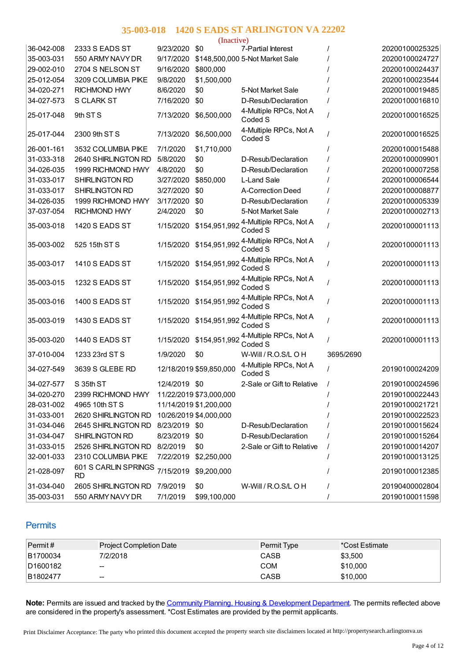|            |                                   |               | (Inactive)              |                                   |           |                |
|------------|-----------------------------------|---------------|-------------------------|-----------------------------------|-----------|----------------|
| 36-042-008 | 2333 S EADS ST                    | 9/23/2020     | \$0                     | 7-Partial Interest                |           | 20200100025325 |
| 35-003-031 | 550 ARMY NAVY DR                  | 9/17/2020     |                         | \$148,500,000 5-Not Market Sale   |           | 20200100024727 |
| 29-002-010 | 2704 S NELSON ST                  | 9/16/2020     | \$800,000               |                                   |           | 20200100024437 |
| 25-012-054 | 3209 COLUMBIA PIKE                | 9/8/2020      | \$1,500,000             |                                   |           | 20200100023544 |
| 34-020-271 | <b>RICHMOND HWY</b>               | 8/6/2020      | \$0                     | 5-Not Market Sale                 |           | 20200100019485 |
| 34-027-573 | <b>S CLARK ST</b>                 | 7/16/2020     | \$0                     | D-Resub/Declaration               |           | 20200100016810 |
| 25-017-048 | 9th ST <sub>S</sub>               | 7/13/2020     | \$6,500,000             | 4-Multiple RPCs, Not A<br>Coded S |           | 20200100016525 |
| 25-017-044 | 2300 9th ST S                     | 7/13/2020     | \$6,500,000             | 4-Multiple RPCs, Not A<br>Coded S |           | 20200100016525 |
| 26-001-161 | 3532 COLUMBIA PIKE                | 7/1/2020      | \$1,710,000             |                                   |           | 20200100015488 |
| 31-033-318 | 2640 SHIRLINGTON RD               | 5/8/2020      | \$0                     | D-Resub/Declaration               |           | 20200100009901 |
| 34-026-035 | 1999 RICHMOND HWY                 | 4/8/2020      | \$0                     | D-Resub/Declaration               |           | 20200100007258 |
| 31-033-017 | SHIRLINGTON RD                    | 3/27/2020     | \$850,000               | L-Land Sale                       |           | 20200100006544 |
| 31-033-017 | SHIRLINGTON RD                    | 3/27/2020     | \$0                     | A-Correction Deed                 |           | 20200100008877 |
| 34-026-035 | 1999 RICHMOND HWY                 | 3/17/2020     | \$0                     | D-Resub/Declaration               |           | 20200100005339 |
| 37-037-054 | <b>RICHMOND HWY</b>               | 2/4/2020      | \$0                     | 5-Not Market Sale                 |           | 20200100002713 |
| 35-003-018 | 1420 S EADS ST                    | 1/15/2020     | \$154,951,992           | 4-Multiple RPCs, Not A<br>Coded S |           | 20200100001113 |
| 35-003-002 | 525 15th ST S                     | 1/15/2020     | \$154,951,992           | 4-Multiple RPCs, Not A<br>Coded S |           | 20200100001113 |
| 35-003-017 | 1410 S EADS ST                    | 1/15/2020     | \$154,951,992           | 4-Multiple RPCs, Not A<br>Coded S |           | 20200100001113 |
| 35-003-015 | 1232 S EADS ST                    | 1/15/2020     | \$154,951,992           | 4-Multiple RPCs, Not A<br>Coded S |           | 20200100001113 |
| 35-003-016 | 1400 S EADS ST                    | 1/15/2020     | \$154,951,992           | 4-Multiple RPCs, Not A<br>Coded S |           | 20200100001113 |
| 35-003-019 | 1430 S EADS ST                    | 1/15/2020     | \$154,951,992           | 4-Multiple RPCs, Not A<br>Coded S |           | 20200100001113 |
| 35-003-020 | 1440 S EADS ST                    | 1/15/2020     | \$154,951,992           | 4-Multiple RPCs, Not A<br>Coded S |           | 20200100001113 |
| 37-010-004 | 1233 23rd ST S                    | 1/9/2020      | \$0                     | W-Will / R.O.S/L O H              | 3695/2690 |                |
| 34-027-549 | 3639 S GLEBE RD                   |               | 12/18/2019 \$59,850,000 | 4-Multiple RPCs, Not A<br>Coded S |           | 20190100024209 |
| 34-027-577 | S 35th ST                         | 12/4/2019     | \$0                     | 2-Sale or Gift to Relative        |           | 20190100024596 |
| 34-020-270 | 2399 RICHMOND HWY                 |               | 11/22/2019 \$73,000,000 |                                   |           | 20190100022443 |
| 28-031-002 | 4965 10th ST S                    |               | 11/14/2019 \$1,200,000  |                                   |           | 20190100021721 |
| 31-033-001 | 2620 SHIRLINGTON RD               |               | 10/26/2019 \$4,000,000  |                                   |           | 20190100022523 |
| 31-034-046 | 2645 SHIRLINGTON RD               | 8/23/2019 \$0 |                         | D-Resub/Declaration               |           | 20190100015624 |
| 31-034-047 | SHIRLINGTON RD                    | 8/23/2019     | \$0                     | D-Resub/Declaration               |           | 20190100015264 |
| 31-033-015 | 2526 SHIRLINGTON RD               | 8/2/2019      | \$0                     | 2-Sale or Gift to Relative        |           | 20190100014207 |
| 32-001-033 | 2310 COLUMBIA PIKE                | 7/22/2019     | \$2,250,000             |                                   |           | 20190100013125 |
| 21-028-097 | 601 S CARLIN SPRINGS<br><b>RD</b> | 7/15/2019     | \$9,200,000             |                                   |           | 20190100012385 |
| 31-034-040 | 2605 SHIRLINGTON RD               | 7/9/2019      | \$0                     | W-Will / R.O.S/L O H              | $\prime$  | 20190400002804 |
| 35-003-031 | 550 ARMY NAVY DR                  | 7/1/2019      | \$99,100,000            |                                   |           | 20190100011598 |

## **Permits**

| $\textsf{Permit}\,\texttt{\#}$ | <b>Project Completion Date</b> | <b>Permit Type</b> | *Cost Estimate |
|--------------------------------|--------------------------------|--------------------|----------------|
| B1700034                       | 7/2/2018                       | CASB               | \$3,500        |
| D1600182                       | $-$                            | COM                | \$10,000       |
| B1802477                       | $\overline{\phantom{a}}$       | CASB               | \$10,000       |

**Note:** Permits are issued and tracked by the Community Planning, Housing & [Development](http://departments.arlingtonva.us/planning-housing-development/) Department. The permits reflected above are considered in the property's assessment. \*Cost Estimates are provided by the permit applicants.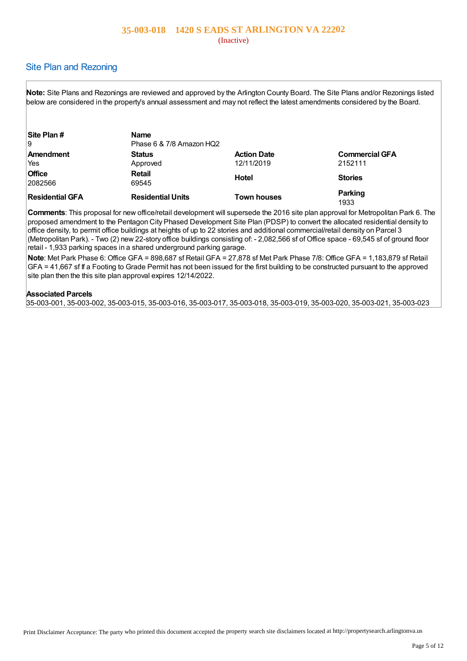#### (Inactive)

## Site Plan and Rezoning

**Note:** Site Plans and Rezonings are reviewed and approved by the Arlington County Board. The Site Plans and/or Rezonings listed below are considered in the property's annual assessment and may not reflect the latest amendments considered by the Board.

| Site Plan #     | <b>Name</b>              |                    |                       |
|-----------------|--------------------------|--------------------|-----------------------|
| 19              | Phase 6 & 7/8 Amazon HQ2 |                    |                       |
| Amendment       | <b>Status</b>            | <b>Action Date</b> | <b>Commercial GFA</b> |
| Yes             | Approved                 | 12/11/2019         | 2152111               |
| <b>Office</b>   | <b>Retail</b>            | Hotel              | <b>Stories</b>        |
| 2082566         | 69545                    |                    |                       |
| Residential GFA | <b>Residential Units</b> | <b>Town houses</b> | Parking               |
|                 |                          |                    | 1933                  |

**Comments**: This proposal for new office/retail development will supersede the 2016 site plan approval for Metropolitan Park 6. The proposed amendment to the Pentagon City Phased Development Site Plan (PDSP) to convert the allocated residential density to office density, to permit office buildings at heights of up to 22 stories and additional commercial/retail density on Parcel 3 (Metropolitan Park). - Two (2) new 22-story office buildings consisting of: - 2,082,566 sf of Office space - 69,545 sf of ground floor retail - 1,933 parking spaces in a shared underground parking garage.

**Note**: Met Park Phase 6: Office GFA = 898,687 sf Retail GFA = 27,878 sf Met Park Phase 7/8: Office GFA = 1,183,879 sf Retail GFA = 41,667 sf If a Footing to Grade Permit has not been issued for the first building to be constructed pursuant to the approved site plan then the this site plan approval expires 12/14/2022.

#### **Associated Parcels**

35-003-001, 35-003-002, 35-003-015, 35-003-016, 35-003-017, 35-003-018, 35-003-019, 35-003-020, 35-003-021, 35-003-023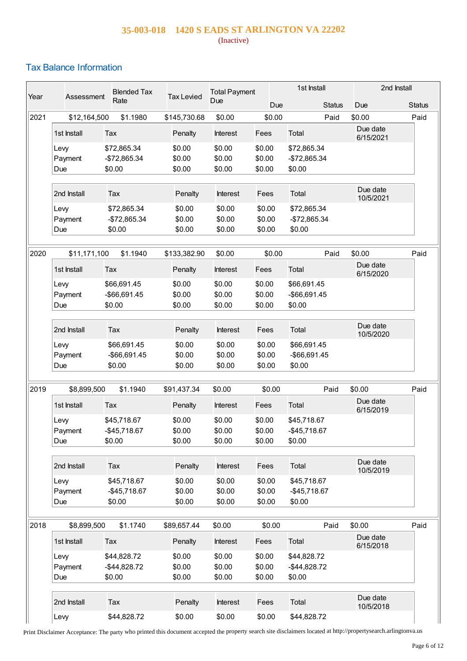## **35-003-018 1420 S EADS ST ARLINGTON VA 22202** (Inactive)

# Tax Balance Information

| Year | Assessment             | <b>Blended Tax</b><br>Rate             | <b>Tax Levied</b>          | <b>Total Payment</b><br>Due |                            | 1st Install                            | 2nd Install           |                       |
|------|------------------------|----------------------------------------|----------------------------|-----------------------------|----------------------------|----------------------------------------|-----------------------|-----------------------|
| 2021 | \$12,164,500           | \$1.1980                               | \$145,730.68               | \$0.00                      | Due<br>\$0.00              | <b>Status</b><br>Paid                  | Due<br>\$0.00         | <b>Status</b><br>Paid |
|      | 1st Install            | Tax                                    | Penalty                    | Interest                    | Fees                       | Total                                  | Due date              |                       |
|      | Levy                   | \$72,865.34                            | \$0.00                     | \$0.00                      | \$0.00                     | \$72,865.34                            | 6/15/2021             |                       |
|      | Payment<br>Due         | -\$72,865.34<br>\$0.00                 | \$0.00<br>\$0.00           | \$0.00<br>\$0.00            | \$0.00<br>\$0.00           | -\$72,865.34<br>\$0.00                 |                       |                       |
|      | 2nd Install            | Tax                                    | Penalty                    | <b>Interest</b>             | Fees                       | Total                                  | Due date<br>10/5/2021 |                       |
|      | Levy                   | \$72,865.34                            | \$0.00                     | \$0.00                      | \$0.00                     | \$72,865.34                            |                       |                       |
|      | Payment<br>Due         | -\$72,865.34<br>\$0.00                 | \$0.00<br>\$0.00           | \$0.00<br>\$0.00            | \$0.00<br>\$0.00           | -\$72,865.34<br>\$0.00                 |                       |                       |
| 2020 | \$11,171,100           | \$1.1940                               | \$133,382.90               | \$0.00                      | \$0.00                     | Paid                                   | \$0.00                | Paid                  |
|      | 1st Install            | Tax                                    | Penalty                    | Interest                    | Fees                       | Total                                  | Due date<br>6/15/2020 |                       |
|      | Levy<br>Payment        | \$66,691.45<br>-\$66,691.45            | \$0.00<br>\$0.00           | \$0.00<br>\$0.00            | \$0.00<br>\$0.00           | \$66,691.45<br>-\$66,691.45            |                       |                       |
|      | Due                    | \$0.00                                 | \$0.00                     | \$0.00                      | \$0.00                     | \$0.00                                 |                       |                       |
|      | 2nd Install            | Tax                                    | Penalty                    | Interest                    | Fees                       | Total                                  | Due date<br>10/5/2020 |                       |
|      | Levy                   | \$66,691.45                            | \$0.00                     | \$0.00<br>\$0.00            | \$0.00                     | \$66,691.45                            |                       |                       |
|      | Payment<br>Due         | -\$66,691.45<br>\$0.00                 | \$0.00<br>\$0.00           | \$0.00                      | \$0.00<br>\$0.00           | -\$66,691.45<br>\$0.00                 |                       |                       |
| 2019 | \$8,899,500            | \$1.1940                               | \$91,437.34                | \$0.00                      | \$0.00                     | Paid                                   | \$0.00                | Paid                  |
|      | 1st Install            | Tax                                    | Penalty                    | Interest                    | Fees                       | Total                                  | Due date<br>6/15/2019 |                       |
|      | Levy<br>Payment        | \$45,718.67<br>$-$45,718.67$           | \$0.00<br>\$0.00           | \$0.00<br>\$0.00            | \$0.00<br>\$0.00           | \$45,718.67<br>-\$45,718.67            |                       |                       |
|      | Due                    | \$0.00                                 | \$0.00                     | \$0.00                      | \$0.00                     | \$0.00                                 |                       |                       |
|      | 2nd Install            | Tax                                    | Penalty                    | Interest                    | Fees                       | Total                                  | Due date<br>10/5/2019 |                       |
|      | Levy                   | \$45,718.67                            | \$0.00                     | \$0.00<br>\$0.00            | \$0.00                     | \$45,718.67                            |                       |                       |
|      | Payment<br>Due         | $-$45,718.67$<br>\$0.00                | \$0.00<br>\$0.00           | \$0.00                      | \$0.00<br>\$0.00           | $-$45,718.67$<br>\$0.00                |                       |                       |
| 2018 | \$8,899,500            | \$1.1740                               | \$89,657.44                | \$0.00                      | \$0.00                     | Paid                                   | \$0.00                | Paid                  |
|      | 1st Install            | Tax                                    | Penalty                    | Interest                    | Fees                       | Total                                  | Due date<br>6/15/2018 |                       |
|      | Levy<br>Payment<br>Due | \$44,828.72<br>$-$44,828.72$<br>\$0.00 | \$0.00<br>\$0.00<br>\$0.00 | \$0.00<br>\$0.00<br>\$0.00  | \$0.00<br>\$0.00<br>\$0.00 | \$44,828.72<br>$-$44,828.72$<br>\$0.00 |                       |                       |
|      | 2nd Install            | Tax                                    | Penalty                    | Interest                    | Fees                       | Total                                  | Due date<br>10/5/2018 |                       |
|      | Levy                   | \$44,828.72                            | \$0.00                     | \$0.00                      | \$0.00                     | \$44,828.72                            |                       |                       |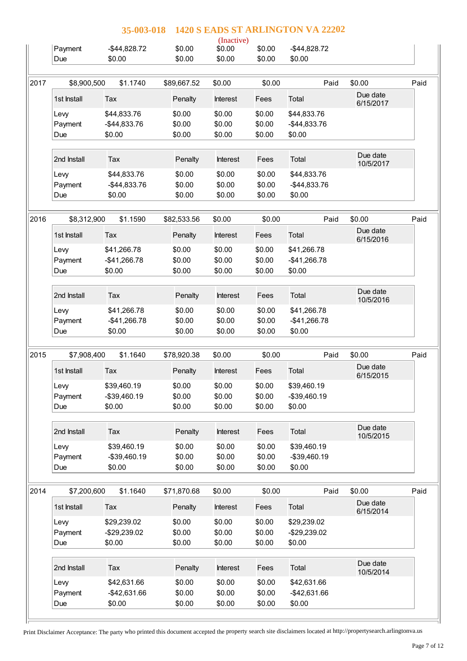|      |                 | 1420 S EADS ST ARLINGTON VA 22202<br>35-003-018 |                  |                      |                  |                             |                       |      |
|------|-----------------|-------------------------------------------------|------------------|----------------------|------------------|-----------------------------|-----------------------|------|
|      | Payment         | $-$44,828.72$                                   | \$0.00           | (Inactive)<br>\$0.00 | \$0.00           | $-$44,828.72$               |                       |      |
|      | Due             | \$0.00                                          | \$0.00           | \$0.00               | \$0.00           | \$0.00                      |                       |      |
|      |                 |                                                 |                  |                      |                  |                             |                       |      |
| 2017 | \$8,900,500     | \$1.1740                                        | \$89,667.52      | \$0.00               | \$0.00           | Paid                        | \$0.00                | Paid |
|      | 1st Install     | Tax                                             | Penalty          | <b>Interest</b>      | Fees             | Total                       | Due date<br>6/15/2017 |      |
|      | Levy            | \$44,833.76                                     | \$0.00           | \$0.00               | \$0.00           | \$44,833.76                 |                       |      |
|      | Payment         | -\$44,833.76                                    | \$0.00           | \$0.00               | \$0.00           | $-$44,833.76$               |                       |      |
|      | Due             | \$0.00                                          | \$0.00           | \$0.00               | \$0.00           | \$0.00                      |                       |      |
|      | 2nd Install     | Tax                                             | Penalty          | <b>Interest</b>      | Fees             | Total                       | Due date<br>10/5/2017 |      |
|      | Levy            | \$44,833.76                                     | \$0.00           | \$0.00               | \$0.00           | \$44,833.76                 |                       |      |
|      | Payment         | -\$44,833.76                                    | \$0.00           | \$0.00               | \$0.00           | $-$44,833.76$               |                       |      |
|      | Due             | \$0.00                                          | \$0.00           | \$0.00               | \$0.00           | \$0.00                      |                       |      |
| 2016 | \$8,312,900     | \$1.1590                                        | \$82,533.56      | \$0.00               | \$0.00           | Paid                        | \$0.00                | Paid |
|      | 1st Install     | Tax                                             | Penalty          | <b>Interest</b>      | Fees             | Total                       | Due date<br>6/15/2016 |      |
|      | Levy            | \$41,266.78                                     | \$0.00           | \$0.00               | \$0.00           | \$41,266.78                 |                       |      |
|      | Payment         | -\$41,266.78                                    | \$0.00           | \$0.00               | \$0.00           | $-$41,266.78$               |                       |      |
|      | Due             | \$0.00                                          | \$0.00           | \$0.00               | \$0.00           | \$0.00                      |                       |      |
|      | 2nd Install     | Tax                                             | Penalty          | Interest             | Fees             | Total                       | Due date<br>10/5/2016 |      |
|      | Levy            | \$41,266.78                                     | \$0.00           | \$0.00               | \$0.00           | \$41,266.78                 |                       |      |
|      | Payment         | -\$41,266.78                                    | \$0.00           | \$0.00               | \$0.00           | $-$41,266.78$               |                       |      |
|      | Due             | \$0.00                                          | \$0.00           | \$0.00               | \$0.00           | \$0.00                      |                       |      |
|      |                 |                                                 |                  |                      |                  |                             |                       |      |
| 2015 | \$7,908,400     | \$1.1640                                        | \$78,920.38      | \$0.00               | \$0.00           | Paid                        | \$0.00                | Paid |
|      |                 |                                                 |                  |                      |                  |                             |                       |      |
|      | 1st Install     | Tax                                             | Penalty          | <b>Interest</b>      | Fees             | Total                       | Due date<br>6/15/2015 |      |
|      | Levy            | \$39,460.19                                     | \$0.00           | \$0.00               | \$0.00           | \$39,460.19                 |                       |      |
|      | Payment         | $-$39,460.19$                                   | \$0.00           | \$0.00               | \$0.00           | $-$ \$39,460.19             |                       |      |
|      | Due             | \$0.00                                          | \$0.00           | \$0.00               | \$0.00           | \$0.00                      |                       |      |
|      | 2nd Install     | Tax                                             | Penalty          | Interest             | Fees             | Total                       | Due date              |      |
|      | Levy            | \$39,460.19                                     | \$0.00           | \$0.00               | \$0.00           | \$39,460.19                 | 10/5/2015             |      |
|      | Payment         | -\$39,460.19                                    | \$0.00           | \$0.00               | \$0.00           | -\$39,460.19                |                       |      |
|      | Due             | \$0.00                                          | \$0.00           | \$0.00               | \$0.00           | \$0.00                      |                       |      |
|      | \$7,200,600     | \$1.1640                                        | \$71,870.68      | \$0.00               | \$0.00           | Paid                        | \$0.00                |      |
|      | 1st Install     | Tax                                             | Penalty          | Interest             | Fees             | Total                       | Due date<br>6/15/2014 |      |
|      | Levy            | \$29,239.02                                     | \$0.00           | \$0.00               | \$0.00           | \$29,239.02                 |                       |      |
|      | Payment         | -\$29,239.02                                    | \$0.00           | \$0.00               | \$0.00           | -\$29,239.02                |                       | Paid |
|      | Due             | \$0.00                                          | \$0.00           | \$0.00               | \$0.00           | \$0.00                      |                       |      |
|      | 2nd Install     | Tax                                             | Penalty          | Interest             | Fees             | Total                       | Due date              |      |
|      |                 |                                                 |                  |                      |                  |                             | 10/5/2014             |      |
| 2014 | Levy<br>Payment | \$42,631.66<br>-\$42,631.66                     | \$0.00<br>\$0.00 | \$0.00<br>\$0.00     | \$0.00<br>\$0.00 | \$42,631.66<br>-\$42,631.66 |                       |      |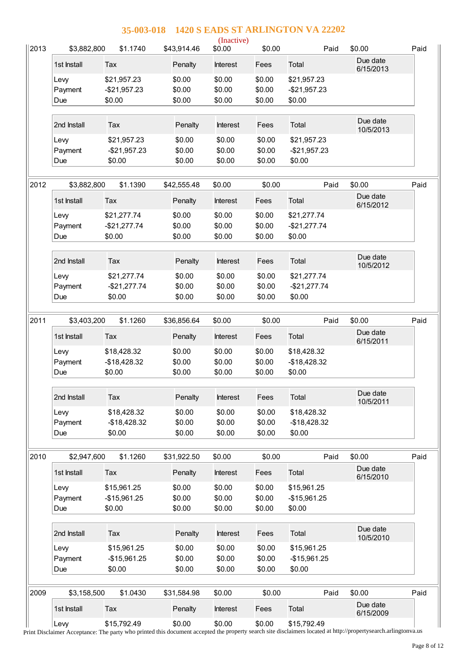| $\parallel$ 2013 | \$3,882,800    | \$1.1740                | \$43,914.46      | (Inactive)<br>\$0.00 | \$0.00           | Paid                    | \$0.00                | Paid |
|------------------|----------------|-------------------------|------------------|----------------------|------------------|-------------------------|-----------------------|------|
|                  | 1st Install    | Tax                     | Penalty          | Interest             | Fees             | Total                   | Due date<br>6/15/2013 |      |
|                  | Levy           | \$21,957.23             | \$0.00           | \$0.00               | \$0.00           | \$21,957.23             |                       |      |
|                  | Payment        | $-$21,957.23$           | \$0.00           | \$0.00               | \$0.00           | $-$21,957.23$           |                       |      |
|                  | Due            | \$0.00                  | \$0.00           | \$0.00               | \$0.00           | \$0.00                  |                       |      |
|                  | 2nd Install    | Tax                     | Penalty          | Interest             | Fees             | Total                   | Due date<br>10/5/2013 |      |
|                  | Levy           | \$21,957.23             | \$0.00           | \$0.00               | \$0.00           | \$21,957.23             |                       |      |
|                  | Payment<br>Due | $-$21,957.23$<br>\$0.00 | \$0.00<br>\$0.00 | \$0.00<br>\$0.00     | \$0.00<br>\$0.00 | $-$21,957.23$<br>\$0.00 |                       |      |
|                  |                |                         |                  |                      |                  |                         |                       |      |
| 2012             | \$3,882,800    | \$1.1390                | \$42,555.48      | \$0.00               | \$0.00           | Paid                    | \$0.00                | Paid |
|                  | 1st Install    | Tax                     | Penalty          | <b>Interest</b>      | Fees             | Total                   | Due date<br>6/15/2012 |      |
|                  | Levy           | \$21,277.74             | \$0.00           | \$0.00               | \$0.00           | \$21,277.74             |                       |      |
|                  | Payment        | $-$21,277.74$           | \$0.00           | \$0.00               | \$0.00           | $-$21,277.74$           |                       |      |
|                  | Due            | \$0.00                  | \$0.00           | \$0.00               | \$0.00           | \$0.00                  |                       |      |
|                  |                |                         |                  |                      |                  |                         | Due date              |      |
|                  | 2nd Install    | Tax                     | Penalty          | Interest             | Fees             | Total                   | 10/5/2012             |      |
|                  | Levy           | \$21,277.74             | \$0.00           | \$0.00               | \$0.00           | \$21,277.74             |                       |      |
|                  | Payment        | $-$21,277.74$           | \$0.00           | \$0.00               | \$0.00           | $-$21,277.74$           |                       |      |
|                  | Due            | \$0.00                  | \$0.00           | \$0.00               | \$0.00           | \$0.00                  |                       |      |
| 2011             | \$3,403,200    | \$1.1260                | \$36,856.64      | \$0.00               | \$0.00           | Paid                    | \$0.00                | Paid |
|                  | 1st Install    | Tax                     | Penalty          | Interest             | Fees             | Total                   | Due date<br>6/15/2011 |      |
|                  | Levy           | \$18,428.32             | \$0.00           | \$0.00               | \$0.00           | \$18,428.32             |                       |      |
|                  | Payment        | $-$18,428.32$           | \$0.00           | \$0.00               | \$0.00           | $-$18,428.32$           |                       |      |
|                  | Due            | \$0.00                  | \$0.00           | \$0.00               | \$0.00           | \$0.00                  |                       |      |
|                  |                |                         |                  |                      |                  |                         | Due date              |      |
|                  | 2nd Install    | Tax                     | Penalty          | Interest             | Fees             | Total                   | 10/5/2011             |      |
|                  | Levy           | \$18,428.32             | \$0.00           | \$0.00               | \$0.00           | \$18,428.32             |                       |      |
|                  | Payment        | $-$18,428.32$           | \$0.00           | \$0.00               | \$0.00           | $-$18,428.32$           |                       |      |
|                  | Due            | \$0.00                  | \$0.00           | \$0.00               | \$0.00           | \$0.00                  |                       |      |
| 2010             | \$2,947,600    | \$1.1260                | \$31,922.50      | \$0.00               | \$0.00           | Paid                    | \$0.00                | Paid |
|                  |                |                         |                  |                      |                  |                         | Due date              |      |
|                  | 1st Install    | Tax                     | Penalty          | Interest             | Fees             | Total                   | 6/15/2010             |      |
|                  | Levy           | \$15,961.25             | \$0.00           | \$0.00               | \$0.00           | \$15,961.25             |                       |      |
|                  | Payment        | $-$15,961.25$           | \$0.00           | \$0.00               | \$0.00           | $-$15,961.25$           |                       |      |
|                  | Due            | \$0.00                  | \$0.00           | \$0.00               | \$0.00           | \$0.00                  |                       |      |
|                  | 2nd Install    | Tax                     | Penalty          | Interest             | Fees             | Total                   | Due date              |      |
|                  | Levy           | \$15,961.25             | \$0.00           | \$0.00               | \$0.00           | \$15,961.25             | 10/5/2010             |      |
|                  | Payment        | $-$15,961.25$           | \$0.00           | \$0.00               | \$0.00           | $-$15,961.25$           |                       |      |
|                  | Due            | \$0.00                  | \$0.00           | \$0.00               | \$0.00           | \$0.00                  |                       |      |
|                  |                |                         |                  |                      |                  |                         |                       |      |
| 2009             | \$3,158,500    | \$1.0430                | \$31,584.98      | \$0.00               | \$0.00           | Paid                    | \$0.00                | Paid |
|                  | 1st Install    | Tax                     | Penalty          | Interest             | Fees             | Total                   | Due date<br>6/15/2009 |      |
|                  | Levy           | \$15,792.49             | \$0.00           | \$0.00               | \$0.00           | \$15,792.49             |                       |      |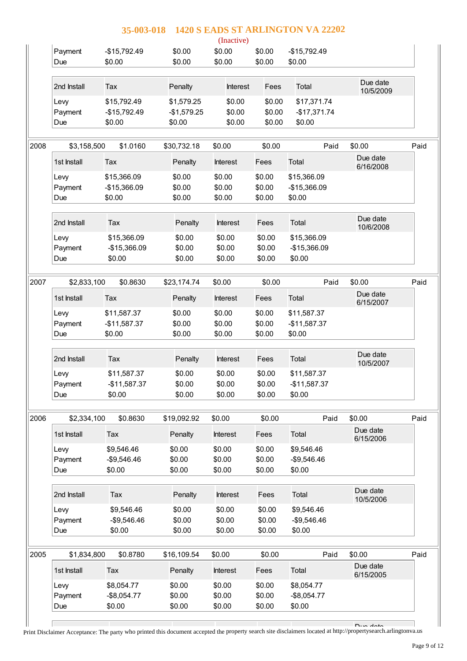| \$0.00<br>Payment<br>\$0.00<br>\$0.00<br>$-$15,792.49$<br>$-$15,792.49$<br>\$0.00<br>\$0.00<br>\$0.00<br>\$0.00<br>\$0.00<br>Due<br>Due date<br>2nd Install<br>Total<br>Tax<br>Penalty<br>Interest<br>Fees<br>10/5/2009<br>\$15,792.49<br>\$0.00<br>\$0.00<br>\$1,579.25<br>\$17,371.74<br>Levy<br>\$0.00<br>\$0.00<br>Payment<br>$-$15,792.49$<br>$-$1,579.25$<br>$-$17,371.74$<br>\$0.00<br>\$0.00<br>\$0.00<br>\$0.00<br>\$0.00<br>Due<br>2008<br>\$1.0160<br>\$30,732.18<br>\$0.00<br>\$0.00<br>\$0.00<br>\$3,158,500<br>Paid<br>Due date<br>Total<br>1st Install<br>Tax<br>Fees<br>Penalty<br><b>Interest</b><br>6/16/2008<br>\$0.00<br>\$0.00<br>\$15,366.09<br>\$0.00<br>\$15,366.09<br>Levy<br>\$0.00<br>-\$15,366.09<br>\$0.00<br>\$0.00<br>$-$15,366.09$<br>Payment<br>\$0.00<br>\$0.00<br>\$0.00<br>\$0.00<br>Due<br>\$0.00<br>Due date<br>2nd Install<br>Total<br>Tax<br>Penalty<br>Interest<br>Fees<br>10/6/2008<br>\$0.00<br>\$0.00<br>\$0.00<br>\$15,366.09<br>\$15,366.09<br>Levy<br>-\$15,366.09<br>\$0.00<br>\$0.00<br>\$0.00<br>-\$15,366.09<br>Payment<br>\$0.00<br>\$0.00<br>\$0.00<br>\$0.00<br>\$0.00<br>Due<br>2007<br>\$0.8630<br>\$0.00<br>\$0.00<br>Paid<br>\$0.00<br>\$2,833,100<br>\$23,174.74<br>Due date<br>1st Install<br>Total<br>Tax<br>Penalty<br>Interest<br>Fees<br>6/15/2007<br>\$0.00<br>\$0.00<br>\$0.00<br>\$11,587.37<br>\$11,587.37<br>Levy<br>\$0.00<br>$-$11,587.37$<br>\$0.00<br>\$0.00<br>Payment<br>$-$11,587.37$<br>\$0.00<br>\$0.00<br>\$0.00<br>\$0.00<br>\$0.00<br>Due<br>Due date<br>2nd Install<br>Total<br>Tax<br>Penalty<br>Interest<br>Fees<br>10/5/2007<br>\$11,587.37<br>\$0.00<br>\$0.00<br>\$0.00<br>\$11,587.37<br>Levy<br>\$0.00<br>\$0.00<br>\$0.00<br>Payment<br>$-$11,587.37$<br>$-$11,587.37$<br>\$0.00<br>\$0.00<br>\$0.00<br>\$0.00<br>\$0.00<br>Due<br>2006<br>\$0.8630<br>\$19,092.92<br>\$0.00<br>\$0.00<br>Paid<br>\$0.00<br>\$2,334,100<br>Due date<br>1st Install<br>Penalty<br>Interest<br>Total<br>Tax<br>Fees<br>6/15/2006<br>\$0.00<br>\$0.00<br>\$0.00<br>\$9,546.46<br>\$9,546.46<br>Levy<br>\$0.00<br>\$0.00<br>\$0.00<br>$-$9,546.46$<br>$-$9,546.46$<br>Payment<br>\$0.00<br>\$0.00<br>\$0.00<br>\$0.00<br>\$0.00<br>Due<br>Due date<br>2nd Install<br>Tax<br>Penalty<br><b>Interest</b><br>Fees<br>Total<br>10/5/2006<br>\$0.00<br>\$0.00<br>\$0.00<br>\$9,546.46<br>\$9,546.46<br>Levy<br>\$0.00<br>\$0.00<br>\$0.00<br>$-$9,546.46$<br>Payment<br>$-$9,546.46$<br>\$0.00<br>\$0.00<br>\$0.00<br>Due<br>\$0.00<br>\$0.00<br>2005<br>\$1,834,800<br>\$0.8780<br>\$16,109.54<br>\$0.00<br>\$0.00<br>Paid<br>\$0.00<br>Due date<br>Total<br>1st Install<br>Penalty<br>Interest<br>Tax<br>Fees<br>6/15/2005<br>\$8,054.77<br>\$0.00<br>\$0.00<br>\$0.00<br>\$8,054.77<br>Levy<br>\$0.00<br>\$0.00<br>$-$ \$8,054.77<br>\$0.00<br>$-$8,054.77$<br>Payment<br>\$0.00<br>\$0.00<br>\$0.00<br>\$0.00<br>Due<br>\$0.00 |  | 35-003-018 | (Inactive) | 1420 S EADS ST ARLINGTON VA 22202 |                       |      |
|-----------------------------------------------------------------------------------------------------------------------------------------------------------------------------------------------------------------------------------------------------------------------------------------------------------------------------------------------------------------------------------------------------------------------------------------------------------------------------------------------------------------------------------------------------------------------------------------------------------------------------------------------------------------------------------------------------------------------------------------------------------------------------------------------------------------------------------------------------------------------------------------------------------------------------------------------------------------------------------------------------------------------------------------------------------------------------------------------------------------------------------------------------------------------------------------------------------------------------------------------------------------------------------------------------------------------------------------------------------------------------------------------------------------------------------------------------------------------------------------------------------------------------------------------------------------------------------------------------------------------------------------------------------------------------------------------------------------------------------------------------------------------------------------------------------------------------------------------------------------------------------------------------------------------------------------------------------------------------------------------------------------------------------------------------------------------------------------------------------------------------------------------------------------------------------------------------------------------------------------------------------------------------------------------------------------------------------------------------------------------------------------------------------------------------------------------------------------------------------------------------------------------------------------------------------------------------------------------------------------------------------------------------------------------------------------------------------------------------------------------------------------------------------------------------------------------------------------------------------------------------------------------------|--|------------|------------|-----------------------------------|-----------------------|------|
|                                                                                                                                                                                                                                                                                                                                                                                                                                                                                                                                                                                                                                                                                                                                                                                                                                                                                                                                                                                                                                                                                                                                                                                                                                                                                                                                                                                                                                                                                                                                                                                                                                                                                                                                                                                                                                                                                                                                                                                                                                                                                                                                                                                                                                                                                                                                                                                                                                                                                                                                                                                                                                                                                                                                                                                                                                                                                                     |  |            |            |                                   |                       |      |
|                                                                                                                                                                                                                                                                                                                                                                                                                                                                                                                                                                                                                                                                                                                                                                                                                                                                                                                                                                                                                                                                                                                                                                                                                                                                                                                                                                                                                                                                                                                                                                                                                                                                                                                                                                                                                                                                                                                                                                                                                                                                                                                                                                                                                                                                                                                                                                                                                                                                                                                                                                                                                                                                                                                                                                                                                                                                                                     |  |            |            |                                   |                       |      |
|                                                                                                                                                                                                                                                                                                                                                                                                                                                                                                                                                                                                                                                                                                                                                                                                                                                                                                                                                                                                                                                                                                                                                                                                                                                                                                                                                                                                                                                                                                                                                                                                                                                                                                                                                                                                                                                                                                                                                                                                                                                                                                                                                                                                                                                                                                                                                                                                                                                                                                                                                                                                                                                                                                                                                                                                                                                                                                     |  |            |            |                                   |                       |      |
|                                                                                                                                                                                                                                                                                                                                                                                                                                                                                                                                                                                                                                                                                                                                                                                                                                                                                                                                                                                                                                                                                                                                                                                                                                                                                                                                                                                                                                                                                                                                                                                                                                                                                                                                                                                                                                                                                                                                                                                                                                                                                                                                                                                                                                                                                                                                                                                                                                                                                                                                                                                                                                                                                                                                                                                                                                                                                                     |  |            |            |                                   |                       | Paid |
|                                                                                                                                                                                                                                                                                                                                                                                                                                                                                                                                                                                                                                                                                                                                                                                                                                                                                                                                                                                                                                                                                                                                                                                                                                                                                                                                                                                                                                                                                                                                                                                                                                                                                                                                                                                                                                                                                                                                                                                                                                                                                                                                                                                                                                                                                                                                                                                                                                                                                                                                                                                                                                                                                                                                                                                                                                                                                                     |  |            |            |                                   |                       |      |
|                                                                                                                                                                                                                                                                                                                                                                                                                                                                                                                                                                                                                                                                                                                                                                                                                                                                                                                                                                                                                                                                                                                                                                                                                                                                                                                                                                                                                                                                                                                                                                                                                                                                                                                                                                                                                                                                                                                                                                                                                                                                                                                                                                                                                                                                                                                                                                                                                                                                                                                                                                                                                                                                                                                                                                                                                                                                                                     |  |            |            |                                   |                       |      |
|                                                                                                                                                                                                                                                                                                                                                                                                                                                                                                                                                                                                                                                                                                                                                                                                                                                                                                                                                                                                                                                                                                                                                                                                                                                                                                                                                                                                                                                                                                                                                                                                                                                                                                                                                                                                                                                                                                                                                                                                                                                                                                                                                                                                                                                                                                                                                                                                                                                                                                                                                                                                                                                                                                                                                                                                                                                                                                     |  |            |            |                                   |                       |      |
|                                                                                                                                                                                                                                                                                                                                                                                                                                                                                                                                                                                                                                                                                                                                                                                                                                                                                                                                                                                                                                                                                                                                                                                                                                                                                                                                                                                                                                                                                                                                                                                                                                                                                                                                                                                                                                                                                                                                                                                                                                                                                                                                                                                                                                                                                                                                                                                                                                                                                                                                                                                                                                                                                                                                                                                                                                                                                                     |  |            |            |                                   |                       |      |
|                                                                                                                                                                                                                                                                                                                                                                                                                                                                                                                                                                                                                                                                                                                                                                                                                                                                                                                                                                                                                                                                                                                                                                                                                                                                                                                                                                                                                                                                                                                                                                                                                                                                                                                                                                                                                                                                                                                                                                                                                                                                                                                                                                                                                                                                                                                                                                                                                                                                                                                                                                                                                                                                                                                                                                                                                                                                                                     |  |            |            |                                   |                       | Paid |
|                                                                                                                                                                                                                                                                                                                                                                                                                                                                                                                                                                                                                                                                                                                                                                                                                                                                                                                                                                                                                                                                                                                                                                                                                                                                                                                                                                                                                                                                                                                                                                                                                                                                                                                                                                                                                                                                                                                                                                                                                                                                                                                                                                                                                                                                                                                                                                                                                                                                                                                                                                                                                                                                                                                                                                                                                                                                                                     |  |            |            |                                   |                       |      |
|                                                                                                                                                                                                                                                                                                                                                                                                                                                                                                                                                                                                                                                                                                                                                                                                                                                                                                                                                                                                                                                                                                                                                                                                                                                                                                                                                                                                                                                                                                                                                                                                                                                                                                                                                                                                                                                                                                                                                                                                                                                                                                                                                                                                                                                                                                                                                                                                                                                                                                                                                                                                                                                                                                                                                                                                                                                                                                     |  |            |            |                                   |                       |      |
|                                                                                                                                                                                                                                                                                                                                                                                                                                                                                                                                                                                                                                                                                                                                                                                                                                                                                                                                                                                                                                                                                                                                                                                                                                                                                                                                                                                                                                                                                                                                                                                                                                                                                                                                                                                                                                                                                                                                                                                                                                                                                                                                                                                                                                                                                                                                                                                                                                                                                                                                                                                                                                                                                                                                                                                                                                                                                                     |  |            |            |                                   |                       |      |
|                                                                                                                                                                                                                                                                                                                                                                                                                                                                                                                                                                                                                                                                                                                                                                                                                                                                                                                                                                                                                                                                                                                                                                                                                                                                                                                                                                                                                                                                                                                                                                                                                                                                                                                                                                                                                                                                                                                                                                                                                                                                                                                                                                                                                                                                                                                                                                                                                                                                                                                                                                                                                                                                                                                                                                                                                                                                                                     |  |            |            |                                   |                       |      |
|                                                                                                                                                                                                                                                                                                                                                                                                                                                                                                                                                                                                                                                                                                                                                                                                                                                                                                                                                                                                                                                                                                                                                                                                                                                                                                                                                                                                                                                                                                                                                                                                                                                                                                                                                                                                                                                                                                                                                                                                                                                                                                                                                                                                                                                                                                                                                                                                                                                                                                                                                                                                                                                                                                                                                                                                                                                                                                     |  |            |            |                                   |                       | Paid |
|                                                                                                                                                                                                                                                                                                                                                                                                                                                                                                                                                                                                                                                                                                                                                                                                                                                                                                                                                                                                                                                                                                                                                                                                                                                                                                                                                                                                                                                                                                                                                                                                                                                                                                                                                                                                                                                                                                                                                                                                                                                                                                                                                                                                                                                                                                                                                                                                                                                                                                                                                                                                                                                                                                                                                                                                                                                                                                     |  |            |            |                                   |                       |      |
|                                                                                                                                                                                                                                                                                                                                                                                                                                                                                                                                                                                                                                                                                                                                                                                                                                                                                                                                                                                                                                                                                                                                                                                                                                                                                                                                                                                                                                                                                                                                                                                                                                                                                                                                                                                                                                                                                                                                                                                                                                                                                                                                                                                                                                                                                                                                                                                                                                                                                                                                                                                                                                                                                                                                                                                                                                                                                                     |  |            |            |                                   |                       |      |
|                                                                                                                                                                                                                                                                                                                                                                                                                                                                                                                                                                                                                                                                                                                                                                                                                                                                                                                                                                                                                                                                                                                                                                                                                                                                                                                                                                                                                                                                                                                                                                                                                                                                                                                                                                                                                                                                                                                                                                                                                                                                                                                                                                                                                                                                                                                                                                                                                                                                                                                                                                                                                                                                                                                                                                                                                                                                                                     |  |            |            |                                   |                       |      |
|                                                                                                                                                                                                                                                                                                                                                                                                                                                                                                                                                                                                                                                                                                                                                                                                                                                                                                                                                                                                                                                                                                                                                                                                                                                                                                                                                                                                                                                                                                                                                                                                                                                                                                                                                                                                                                                                                                                                                                                                                                                                                                                                                                                                                                                                                                                                                                                                                                                                                                                                                                                                                                                                                                                                                                                                                                                                                                     |  |            |            |                                   |                       |      |
|                                                                                                                                                                                                                                                                                                                                                                                                                                                                                                                                                                                                                                                                                                                                                                                                                                                                                                                                                                                                                                                                                                                                                                                                                                                                                                                                                                                                                                                                                                                                                                                                                                                                                                                                                                                                                                                                                                                                                                                                                                                                                                                                                                                                                                                                                                                                                                                                                                                                                                                                                                                                                                                                                                                                                                                                                                                                                                     |  |            |            |                                   |                       | Paid |
|                                                                                                                                                                                                                                                                                                                                                                                                                                                                                                                                                                                                                                                                                                                                                                                                                                                                                                                                                                                                                                                                                                                                                                                                                                                                                                                                                                                                                                                                                                                                                                                                                                                                                                                                                                                                                                                                                                                                                                                                                                                                                                                                                                                                                                                                                                                                                                                                                                                                                                                                                                                                                                                                                                                                                                                                                                                                                                     |  |            |            |                                   |                       |      |
|                                                                                                                                                                                                                                                                                                                                                                                                                                                                                                                                                                                                                                                                                                                                                                                                                                                                                                                                                                                                                                                                                                                                                                                                                                                                                                                                                                                                                                                                                                                                                                                                                                                                                                                                                                                                                                                                                                                                                                                                                                                                                                                                                                                                                                                                                                                                                                                                                                                                                                                                                                                                                                                                                                                                                                                                                                                                                                     |  |            |            |                                   |                       |      |
|                                                                                                                                                                                                                                                                                                                                                                                                                                                                                                                                                                                                                                                                                                                                                                                                                                                                                                                                                                                                                                                                                                                                                                                                                                                                                                                                                                                                                                                                                                                                                                                                                                                                                                                                                                                                                                                                                                                                                                                                                                                                                                                                                                                                                                                                                                                                                                                                                                                                                                                                                                                                                                                                                                                                                                                                                                                                                                     |  |            |            |                                   | $D_{\text{max}}$ data |      |

Due date Print Disclaimer Acceptance: The party who printed this document accepted the property search site disclaimers located at http://propertysearch.arlingtonva.us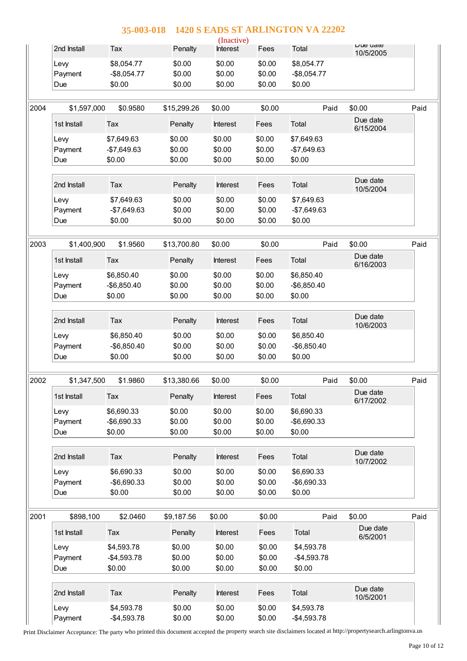|      |                 |                            |                  | (Inactive)       |                  |                            |                       |      |
|------|-----------------|----------------------------|------------------|------------------|------------------|----------------------------|-----------------------|------|
|      | 2nd Install     | Tax                        | Penalty          | Interest         | Fees             | Total                      | Due uale<br>10/5/2005 |      |
|      | Levy            | \$8,054.77                 | \$0.00           | \$0.00           | \$0.00           | \$8,054.77                 |                       |      |
|      | Payment         | $-$8,054.77$               | \$0.00           | \$0.00           | \$0.00           | $-$8,054.77$               |                       |      |
|      | Due             | \$0.00                     | \$0.00           | \$0.00           | \$0.00           | \$0.00                     |                       |      |
| 2004 | \$1,597,000     | \$0.9580                   | \$15,299.26      | \$0.00           | \$0.00           | Paid                       | \$0.00                | Paid |
|      | 1st Install     | Tax                        | Penalty          | Interest         | Fees             | Total                      | Due date              |      |
|      |                 |                            |                  |                  |                  |                            | 6/15/2004             |      |
|      | Levy<br>Payment | \$7,649.63<br>$-$7,649.63$ | \$0.00<br>\$0.00 | \$0.00<br>\$0.00 | \$0.00<br>\$0.00 | \$7,649.63<br>$-$7,649.63$ |                       |      |
|      | Due             | \$0.00                     | \$0.00           | \$0.00           | \$0.00           | \$0.00                     |                       |      |
|      |                 |                            |                  |                  |                  |                            |                       |      |
|      | 2nd Install     | Tax                        | Penalty          | <b>Interest</b>  | Fees             | Total                      | Due date<br>10/5/2004 |      |
|      | Levy            | \$7,649.63                 | \$0.00           | \$0.00           | \$0.00           | \$7,649.63                 |                       |      |
|      | Payment         | $-$7,649.63$               | \$0.00           | \$0.00           | \$0.00           | -\$7,649.63                |                       |      |
|      | Due             | \$0.00                     | \$0.00           | \$0.00           | \$0.00           | \$0.00                     |                       |      |
| 2003 | \$1,400,900     | \$1.9560                   | \$13,700.80      | \$0.00           | \$0.00           | Paid                       | \$0.00                | Paid |
|      | 1st Install     | Tax                        | Penalty          | <b>Interest</b>  | Fees             | Total                      | Due date<br>6/16/2003 |      |
|      | Levy            | \$6,850.40                 | \$0.00           | \$0.00           | \$0.00           | \$6,850.40                 |                       |      |
|      | Payment         | $-$6,850.40$               | \$0.00           | \$0.00           | \$0.00           | $-$6,850.40$               |                       |      |
|      | Due             | \$0.00                     | \$0.00           | \$0.00           | \$0.00           | \$0.00                     |                       |      |
|      |                 |                            |                  |                  |                  |                            | Due date              |      |
|      | 2nd Install     | Tax                        | Penalty          | Interest         | Fees             | Total                      | 10/6/2003             |      |
|      | Levy            | \$6,850.40                 | \$0.00           | \$0.00           | \$0.00           | \$6,850.40                 |                       |      |
|      | Payment         | $-$6,850.40$               | \$0.00           | \$0.00           | \$0.00           | $-$6,850.40$               |                       |      |
|      | Due             | \$0.00                     | \$0.00           | \$0.00           | \$0.00           | \$0.00                     |                       |      |
| 2002 | \$1,347,500     | \$1.9860                   | \$13,380.66      | \$0.00           | \$0.00           | Paid                       | \$0.00                | Paid |
|      | 1st Install     | Tax                        | Penalty          | Interest         | Fees             | Total                      | Due date<br>6/17/2002 |      |
|      | Levy            | \$6,690.33                 | \$0.00           | \$0.00           | \$0.00           | \$6,690.33                 |                       |      |
|      | Payment         | $-$6,690.33$               | \$0.00           | \$0.00           | \$0.00           | -\$6,690.33                |                       |      |
|      | Due             | \$0.00                     | \$0.00           | \$0.00           | \$0.00           | \$0.00                     |                       |      |
|      | 2nd Install     | Tax                        | Penalty          | Interest         | Fees             | Total                      | Due date<br>10/7/2002 |      |
|      | Levy            | \$6,690.33                 | \$0.00           | \$0.00           | \$0.00           | \$6,690.33                 |                       |      |
|      | Payment         | -\$6,690.33                | \$0.00           | \$0.00           | \$0.00           | $-$6,690.33$               |                       |      |
|      | Due             | \$0.00                     | \$0.00           | \$0.00           | \$0.00           | \$0.00                     |                       |      |
|      |                 |                            |                  |                  |                  |                            |                       |      |
| 2001 | \$898,100       | \$2.0460                   | \$9,187.56       | \$0.00           | \$0.00           | Paid                       | \$0.00                | Paid |
|      | 1st Install     | Tax                        | Penalty          | Interest         | Fees             | Total                      | Due date<br>6/5/2001  |      |
|      | Levy            | \$4,593.78                 | \$0.00           | \$0.00           | \$0.00           | \$4,593.78                 |                       |      |
|      | Payment         | $-$4,593.78$               | \$0.00           | \$0.00           | \$0.00           | $-$4,593.78$               |                       |      |
|      | Due             | \$0.00                     | \$0.00           | \$0.00           | \$0.00           | \$0.00                     |                       |      |
|      | 2nd Install     | Tax                        | Penalty          | Interest         | Fees             | Total                      | Due date              |      |
|      |                 |                            |                  |                  |                  |                            | 10/5/2001             |      |
|      | Levy            | \$4,593.78                 | \$0.00           | \$0.00           | \$0.00           | \$4,593.78                 |                       |      |

Print Disclaimer Acceptance: The party who printed this document accepted the property search site disclaimers located at http://propertysearch.arlingtonva.us

Payment -\$4,593.78 \$0.00 \$0.00 \$0.00 -\$4,593.78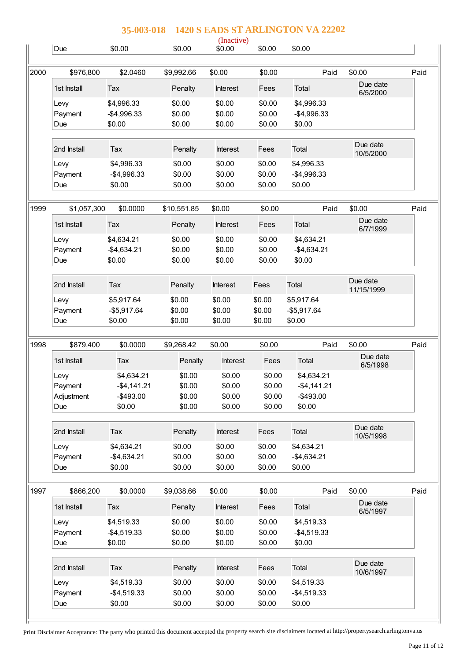|      |                        | 35-003-018                           |                            |                            |                            | 1420 S EADS ST ARLINGTON VA 22202    |                        |      |
|------|------------------------|--------------------------------------|----------------------------|----------------------------|----------------------------|--------------------------------------|------------------------|------|
|      | Due                    | \$0.00                               | \$0.00                     | (Inactive)<br>\$0.00       | \$0.00                     | \$0.00                               |                        |      |
| 2000 | \$976,800              | \$2,0460                             | \$9,992.66                 | \$0.00                     | \$0.00                     | Paid                                 | \$0.00                 | Paid |
|      | 1st Install            | Tax                                  | Penalty                    | <b>Interest</b>            | Fees                       | Total                                | Due date<br>6/5/2000   |      |
|      | Levy<br>Payment<br>Due | \$4,996.33<br>$-$4,996.33$<br>\$0.00 | \$0.00<br>\$0.00<br>\$0.00 | \$0.00<br>\$0.00<br>\$0.00 | \$0.00<br>\$0.00<br>\$0.00 | \$4,996.33<br>$-$4,996.33$<br>\$0.00 |                        |      |
|      | 2nd Install            | Tax                                  | Penalty                    | <b>Interest</b>            | Fees                       | Total                                | Due date<br>10/5/2000  |      |
|      | Levy<br>Payment        | \$4,996.33<br>$-$4,996.33$           | \$0.00<br>\$0.00           | \$0.00<br>\$0.00           | \$0.00<br>\$0.00           | \$4,996.33<br>$-$4,996.33$           |                        |      |
|      | Due                    | \$0.00                               | \$0.00                     | \$0.00                     | \$0.00                     | \$0.00                               |                        |      |
| 1999 | \$1,057,300            | \$0.0000                             | \$10,551.85                | \$0.00                     | \$0.00                     | Paid                                 | \$0.00                 | Paid |
|      | 1st Install            | Tax                                  | Penalty                    | <b>Interest</b>            | Fees                       | Total                                | Due date<br>6/7/1999   |      |
|      | Levy                   | \$4,634.21                           | \$0.00                     | \$0.00                     | \$0.00                     | \$4,634.21                           |                        |      |
|      | Payment                | $-$4,634.21$                         | \$0.00                     | \$0.00                     | \$0.00                     | $-$4,634.21$                         |                        |      |
|      | Due                    | \$0.00                               | \$0.00                     | \$0.00                     | \$0.00                     | \$0.00                               |                        |      |
|      | 2nd Install            | Tax                                  | Penalty                    | <b>Interest</b>            | Fees                       | Total                                | Due date<br>11/15/1999 |      |

Levy \$5,917.64 \$0.00 \$0.00 \$0.00 \$5,917.64 Payment -\$5,917.64 \$0.00 \$0.00 \$0.00 -\$5,917.64 Due \$0.00 \$0.00 \$0.00 \$0.00 \$0.00

Levy \$4,634.21 \$0.00 \$0.00 \$0.00 \$4,634.21 Payment -\$4,141.21 \$0.00 \$0.00 \$0.00 -\$4,141.21 Adjustment -\$493.00 \$0.00 \$0.00 \$0.00 -\$493.00 Due \$0.00 \$0.00 \$0.00 \$0.00 \$0.00 \$0.00

Levy \$4,634.21 \$0.00 \$0.00 \$0.00 \$4,634.21 Payment -\$4,634.21 \$0.00 \$0.00 \$0.00 -\$4,634.21 Due \$0.00 \$0.00 \$0.00 \$0.00 \$0.00

Lew \$4,519.33 \$0.00 \$0.00 \$0.00 \$4,519.33 Payment -\$4,519.33 \$0.00 \$0.00 \$0.00 -\$4,519.33 Due \$0.00 \$0.00 \$0.00 \$0.00 \$0.00

Levy \$4,519.33 \$0.00 \$0.00 \$0.00 \$4,519.33 Payment -\$4,519.33 \$0.00 \$0.00 \$0.00 -\$4,519.33 Due \$0.00 \$0.00 \$0.00 \$0.00 \$0.00

1st Install Tax **Penalty** Interest Fees Total Due date

2nd Install Tax **Penalty** Interest Fees Total Due date

1st Install Tax **Penalty** Interest Fees Total Due date

2nd Install Tax **Penalty** Interest Fees Total Due date

1998 \$879,400 \$0.0000 \$9,268.42 \$0.00

1997 \$866,200 \$0.0000 \$9,038.66 \$0.00

Print Disclaimer Acceptance: The party who printed this document accepted the property search site disclaimers located at http://propertysearch.arlingtonva.us

\$0.00 Paid \$0.00 Paid

6/5/1998

10/5/1998

6/5/1997

10/6/1997

\$0.00 Paid \$0.00 Paid